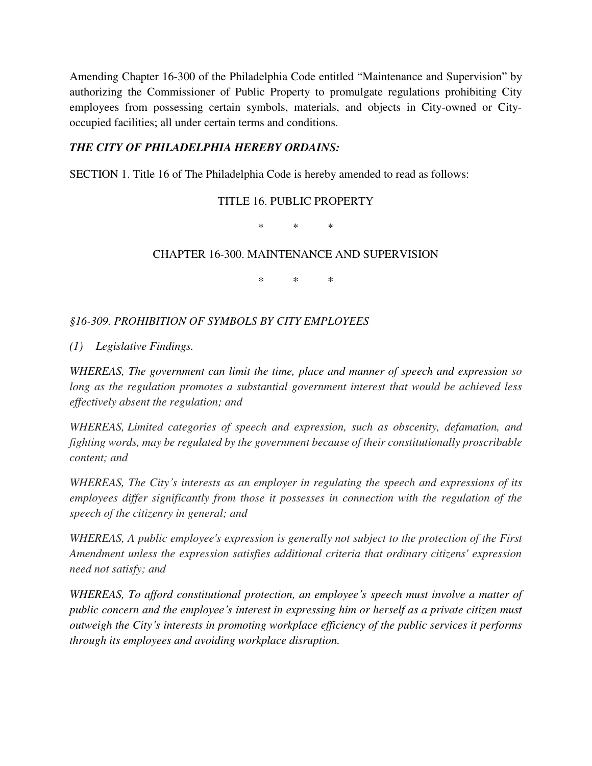Amending Chapter 16-300 of the Philadelphia Code entitled "Maintenance and Supervision" by authorizing the Commissioner of Public Property to promulgate regulations prohibiting City employees from possessing certain symbols, materials, and objects in City-owned or Cityoccupied facilities; all under certain terms and conditions.

## *THE CITY OF PHILADELPHIA HEREBY ORDAINS:*

SECTION 1. Title 16 of The Philadelphia Code is hereby amended to read as follows:

## TITLE 16. PUBLIC PROPERTY

\* \* \*

## CHAPTER 16-300. MAINTENANCE AND SUPERVISION

\* \* \*

## *§16-309. PROHIBITION OF SYMBOLS BY CITY EMPLOYEES*

*(1) Legislative Findings.* 

*WHEREAS, The government can limit the time, place and manner of speech and expression so long as the regulation promotes a substantial government interest that would be achieved less effectively absent the regulation; and* 

*WHEREAS, Limited categories of speech and expression, such as obscenity, defamation, and fighting words, may be regulated by the government because of their constitutionally proscribable content; and* 

*WHEREAS, The City's interests as an employer in regulating the speech and expressions of its employees differ significantly from those it possesses in connection with the regulation of the speech of the citizenry in general; and* 

*WHEREAS, A public employee's expression is generally not subject to the protection of the First Amendment unless the expression satisfies additional criteria that ordinary citizens' expression need not satisfy; and* 

*WHEREAS, To afford constitutional protection, an employee's speech must involve a matter of public concern and the employee's interest in expressing him or herself as a private citizen must outweigh the City's interests in promoting workplace efficiency of the public services it performs through its employees and avoiding workplace disruption.*